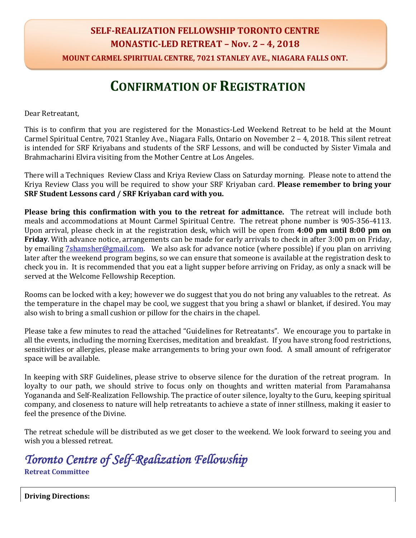### **SELF-REALIZATION FELLOWSHIP TORONTO CENTRE MONASTIC-LED RETREAT – Nov. 2 – 4, 2018**

**MOUNT CARMEL SPIRITUAL CENTRE, 7021 STANLEY AVE., NIAGARA FALLS ONT.**

## **CONFIRMATION OF REGISTRATION**

Dear Retreatant,

This is to confirm that you are registered for the Monastics-Led Weekend Retreat to be held at the Mount Carmel Spiritual Centre, 7021 Stanley Ave., Niagara Falls, Ontario on November 2 – 4, 2018. This silent retreat is intended for SRF Kriyabans and students of the SRF Lessons, and will be conducted by Sister Vimala and Brahmacharini Elvira visiting from the Mother Centre at Los Angeles.

There will a Techniques Review Class and Kriya Review Class on Saturday morning. Please note to attend the Kriya Review Class you will be required to show your SRF Kriyaban card. **Please remember to bring your SRF Student Lessons card / SRF Kriyaban card with you.**

**Please bring this confirmation with you to the retreat for admittance.** The retreat will include both meals and accommodations at Mount Carmel Spiritual Centre. The retreat phone number is 905-356-4113. Upon arrival, please check in at the registration desk, which will be open from **4:00 pm until 8:00 pm on Friday**. With advance notice, arrangements can be made for early arrivals to check in after 3:00 pm on Friday, by emailing [7shamsher@gmail.com.](mailto:7shamsher@gmail.com) We also ask for advance notice (where possible) if you plan on arriving later after the weekend program begins, so we can ensure that someone is available at the registration desk to check you in. It is recommended that you eat a light supper before arriving on Friday, as only a snack will be served at the Welcome Fellowship Reception.

Rooms can be locked with a key; however we do suggest that you do not bring any valuables to the retreat. As the temperature in the chapel may be cool, we suggest that you bring a shawl or blanket, if desired. You may also wish to bring a small cushion or pillow for the chairs in the chapel.

Please take a few minutes to read the attached "Guidelines for Retreatants". We encourage you to partake in all the events, including the morning Exercises, meditation and breakfast. If you have strong food restrictions, sensitivities or allergies, please make arrangements to bring your own food. A small amount of refrigerator space will be available.

In keeping with SRF Guidelines, please strive to observe silence for the duration of the retreat program. In loyalty to our path, we should strive to focus only on thoughts and written material from Paramahansa Yogananda and Self-Realization Fellowship. The practice of outer silence, loyalty to the Guru, keeping spiritual company, and closeness to nature will help retreatants to achieve a state of inner stillness, making it easier to feel the presence of the Divine.

The retreat schedule will be distributed as we get closer to the weekend. We look forward to seeing you and wish you a blessed retreat.

*Toronto Centre of Self-Realization Fellowship* 

**Retreat Committee**

**Driving Directions:**